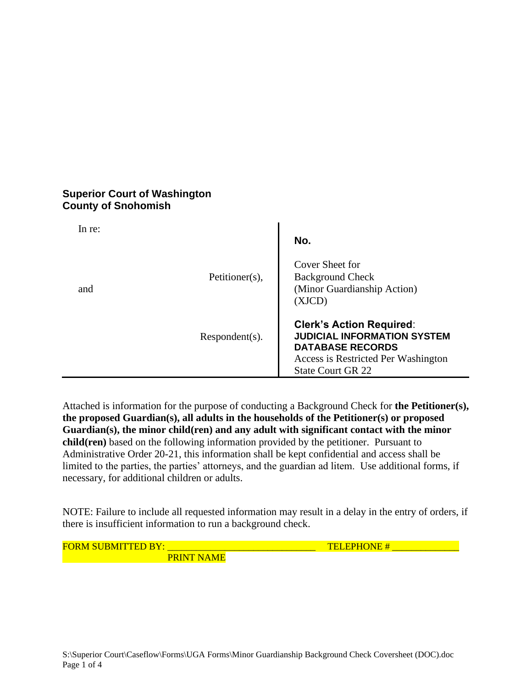## **Superior Court of Washington County of Snohomish**

| In re: |                   | No.                                                                                                                                                                 |
|--------|-------------------|---------------------------------------------------------------------------------------------------------------------------------------------------------------------|
| and    | Petitioner(s),    | Cover Sheet for<br><b>Background Check</b><br>(Minor Guardianship Action)<br>(XJCD)                                                                                 |
|        | $Respondent(s)$ . | <b>Clerk's Action Required:</b><br><b>JUDICIAL INFORMATION SYSTEM</b><br><b>DATABASE RECORDS</b><br>Access is Restricted Per Washington<br><b>State Court GR 22</b> |

Attached is information for the purpose of conducting a Background Check for **the Petitioner(s), the proposed Guardian(s), all adults in the households of the Petitioner(s) or proposed Guardian(s), the minor child(ren) and any adult with significant contact with the minor child(ren)** based on the following information provided by the petitioner. Pursuant to Administrative Order 20-21, this information shall be kept confidential and access shall be limited to the parties, the parties' attorneys, and the guardian ad litem. Use additional forms, if necessary, for additional children or adults.

NOTE: Failure to include all requested information may result in a delay in the entry of orders, if there is insufficient information to run a background check.

FORM SUBMITTED BY: \_\_\_\_\_\_\_\_\_\_\_\_\_\_\_\_\_\_\_\_\_\_\_\_\_\_\_\_\_\_\_ TELEPHONE # \_\_\_\_\_\_\_\_\_\_\_\_\_\_ **PRINT NAME**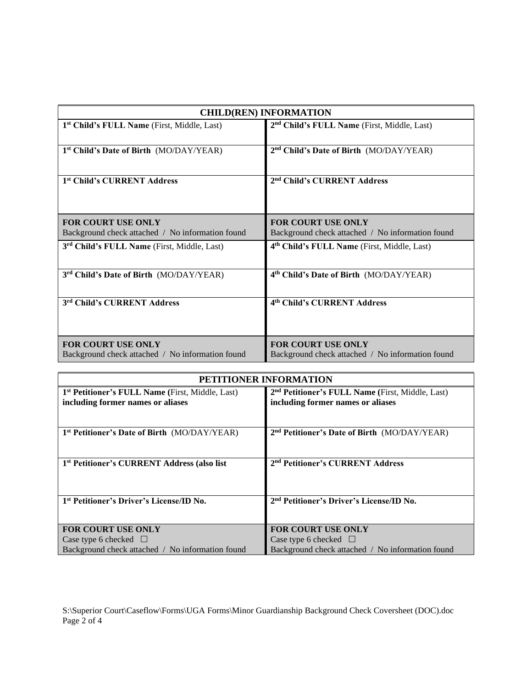| <b>CHILD(REN) INFORMATION</b>                                                 |                                                                        |  |
|-------------------------------------------------------------------------------|------------------------------------------------------------------------|--|
| 1 <sup>st</sup> Child's FULL Name (First, Middle, Last)                       | 2 <sup>nd</sup> Child's FULL Name (First, Middle, Last)                |  |
| 1 <sup>st</sup> Child's Date of Birth (MO/DAY/YEAR)                           | 2 <sup>nd</sup> Child's Date of Birth (MO/DAY/YEAR)                    |  |
| 1 <sup>st</sup> Child's CURRENT Address                                       | 2 <sup>nd</sup> Child's CURRENT Address                                |  |
| <b>FOR COURT USE ONLY</b>                                                     | <b>FOR COURT USE ONLY</b>                                              |  |
| Background check attached / No information found                              | Background check attached / No information found                       |  |
| 3 <sup>rd</sup> Child's FULL Name (First, Middle, Last)                       | 4 <sup>th</sup> Child's FULL Name (First, Middle, Last)                |  |
| 3rd Child's Date of Birth (MO/DAY/YEAR)                                       | 4th Child's Date of Birth (MO/DAY/YEAR)                                |  |
| 3rd Child's CURRENT Address                                                   | 4th Child's CURRENT Address                                            |  |
| <b>FOR COURT USE ONLY</b><br>Background check attached / No information found | FOR COURT USE ONLY<br>Background check attached / No information found |  |
|                                                                               |                                                                        |  |

| PETITIONER INFORMATION                                       |                                                              |  |
|--------------------------------------------------------------|--------------------------------------------------------------|--|
| 1 <sup>st</sup> Petitioner's FULL Name (First, Middle, Last) | 2 <sup>nd</sup> Petitioner's FULL Name (First, Middle, Last) |  |
| including former names or aliases                            | including former names or aliases                            |  |
|                                                              |                                                              |  |
| 1 <sup>st</sup> Petitioner's Date of Birth (MO/DAY/YEAR)     | 2 <sup>nd</sup> Petitioner's Date of Birth (MO/DAY/YEAR)     |  |
|                                                              |                                                              |  |
| 1 <sup>st</sup> Petitioner's CURRENT Address (also list      | 2 <sup>nd</sup> Petitioner's CURRENT Address                 |  |
|                                                              |                                                              |  |
|                                                              |                                                              |  |
| 1 <sup>st</sup> Petitioner's Driver's License/ID No.         | 2 <sup>nd</sup> Petitioner's Driver's License/ID No.         |  |
|                                                              |                                                              |  |
| <b>FOR COURT USE ONLY</b>                                    | <b>FOR COURT USE ONLY</b>                                    |  |
| Case type 6 checked $\Box$                                   | Case type 6 checked $\Box$                                   |  |
| Background check attached / No information found             | Background check attached / No information found             |  |

S:\Superior Court\Caseflow\Forms\UGA Forms\Minor Guardianship Background Check Coversheet (DOC).doc Page 2 of 4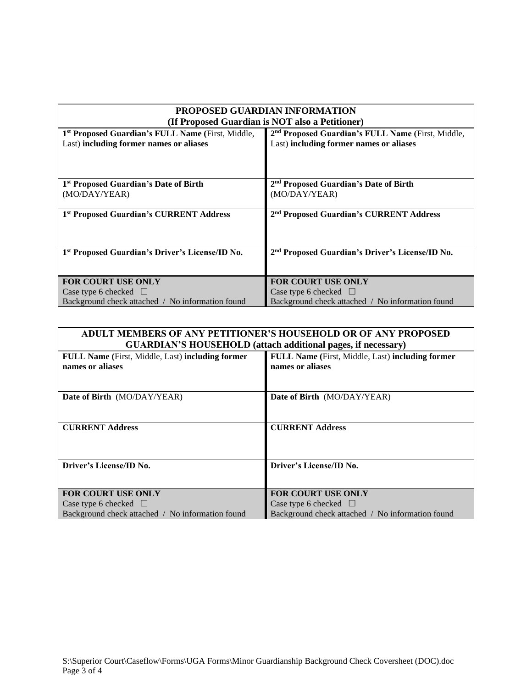| <b>PROPOSED GUARDIAN INFORMATION</b>                        |                                                               |  |  |
|-------------------------------------------------------------|---------------------------------------------------------------|--|--|
| (If Proposed Guardian is NOT also a Petitioner)             |                                                               |  |  |
| 1st Proposed Guardian's FULL Name (First, Middle,           | 2 <sup>nd</sup> Proposed Guardian's FULL Name (First, Middle, |  |  |
| Last) including former names or aliases                     | Last) including former names or aliases                       |  |  |
|                                                             |                                                               |  |  |
|                                                             |                                                               |  |  |
| 1 <sup>st</sup> Proposed Guardian's Date of Birth           | 2 <sup>nd</sup> Proposed Guardian's Date of Birth             |  |  |
| (MO/DAY/YEAR)                                               | (MO/DAY/YEAR)                                                 |  |  |
|                                                             |                                                               |  |  |
| 1 <sup>st</sup> Proposed Guardian's CURRENT Address         | 2 <sup>nd</sup> Proposed Guardian's CURRENT Address           |  |  |
|                                                             |                                                               |  |  |
|                                                             |                                                               |  |  |
| 1 <sup>st</sup> Proposed Guardian's Driver's License/ID No. | 2 <sup>nd</sup> Proposed Guardian's Driver's License/ID No.   |  |  |
|                                                             |                                                               |  |  |
|                                                             |                                                               |  |  |
| <b>FOR COURT USE ONLY</b>                                   | <b>FOR COURT USE ONLY</b>                                     |  |  |
| Case type 6 checked $\Box$                                  | Case type 6 checked $\Box$                                    |  |  |
| Background check attached / No information found            | Background check attached / No information found              |  |  |

| <b>ADULT MEMBERS OF ANY PETITIONER'S HOUSEHOLD OR OF ANY PROPOSED</b> |                                                  |  |  |
|-----------------------------------------------------------------------|--------------------------------------------------|--|--|
| <b>GUARDIAN'S HOUSEHOLD (attach additional pages, if necessary)</b>   |                                                  |  |  |
| FULL Name (First, Middle, Last) including former                      | FULL Name (First, Middle, Last) including former |  |  |
| names or aliases                                                      | names or aliases                                 |  |  |
|                                                                       |                                                  |  |  |
|                                                                       |                                                  |  |  |
| Date of Birth (MO/DAY/YEAR)                                           | Date of Birth (MO/DAY/YEAR)                      |  |  |
|                                                                       |                                                  |  |  |
|                                                                       |                                                  |  |  |
| <b>CURRENT Address</b>                                                | <b>CURRENT Address</b>                           |  |  |
|                                                                       |                                                  |  |  |
|                                                                       |                                                  |  |  |
| Driver's License/ID No.                                               | Driver's License/ID No.                          |  |  |
|                                                                       |                                                  |  |  |
|                                                                       |                                                  |  |  |
| <b>FOR COURT USE ONLY</b>                                             | <b>FOR COURT USE ONLY</b>                        |  |  |
| Case type 6 checked $\Box$                                            | Case type 6 checked $\Box$                       |  |  |
| Background check attached / No information found                      | Background check attached / No information found |  |  |